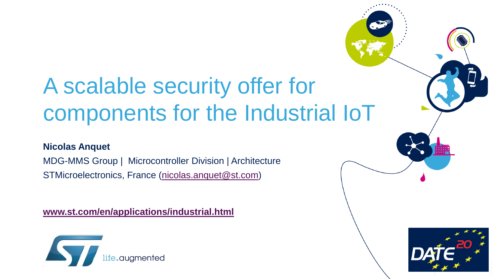# A scalable security offer for components for the Industrial IoT

#### **Nicolas Anquet**

MDG-MMS Group | Microcontroller Division | Architecture STMicroelectronics, France [\(nicolas.anquet@st.com](mailto:nicolas.anquet@st.com))

**[www.st.com/en/applications/industrial.html](https://www.st.com/en/applications/industrial.html)**



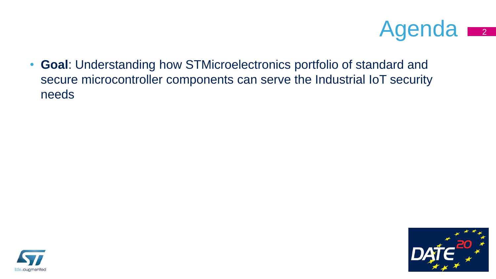

• **Goal**: Understanding how STMicroelectronics portfolio of standard and secure microcontroller components can serve the Industrial IoT security needs



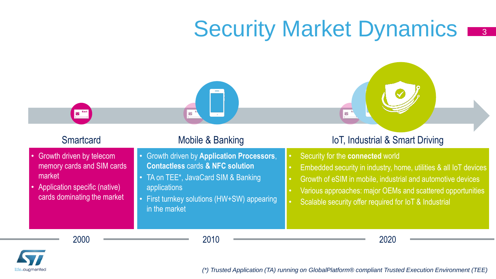# Security Market Dynamics

| <b>Smartcard</b> |
|------------------|
|------------------|

- Growth driven by telecom memory cards and SIM cards market
- Application specific (native) cards dominating the market

- Growth driven by **Application Processors**, **Contactless** cards **& NFC solution**
- TA on TEE<sup>\*</sup>, JavaCard SIM & Banking applications

龍

• First turnkey solutions (HW+SW) appearing in the market

### Mobile & Banking **IoT**, Industrial & Smart Driving

3

• Security for the **connected** world

蠀

- Embedded security in industry, home, utilities & all IoT devices
- Growth of eSIM in mobile, industrial and automotive devices
- Various approaches: major OEMs and scattered opportunities
- Scalable security offer required for IoT & Industrial



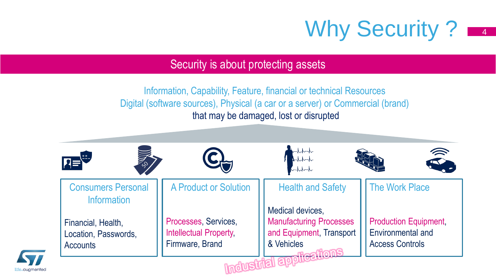

### Security is about protecting assets

Information, Capability, Feature, financial or technical Resources Digital (software sources), Physical (a car or a server) or Commercial (brand) that may be damaged, lost or disrupted

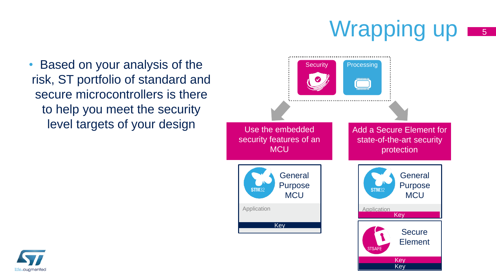### Wrapping up  $\overline{\phantom{0}}$  5

Key

• Based on your analysis of the risk, ST portfolio of standard and secure microcontrollers is there to help you meet the security level targets of your design